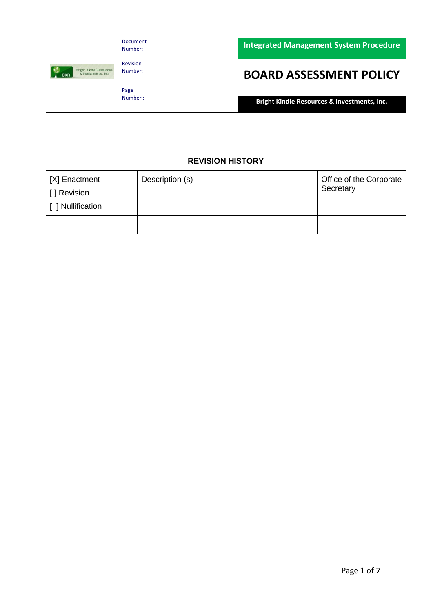|                                                                     | <b>Document</b><br>Number: | <b>Integrated Management System Procedure</b>          |
|---------------------------------------------------------------------|----------------------------|--------------------------------------------------------|
| <b>Bright Kindle Resources</b><br>& Investments, Inc.<br><b>BKR</b> | <b>Revision</b><br>Number: | <b>BOARD ASSESSMENT POLICY</b>                         |
|                                                                     | Page<br>Number:            | <b>Bright Kindle Resources &amp; Investments, Inc.</b> |

| <b>REVISION HISTORY</b>                            |                 |                                      |
|----------------------------------------------------|-----------------|--------------------------------------|
| [X] Enactment<br>[ ] Revision<br>[ ] Nullification | Description (s) | Office of the Corporate<br>Secretary |
|                                                    |                 |                                      |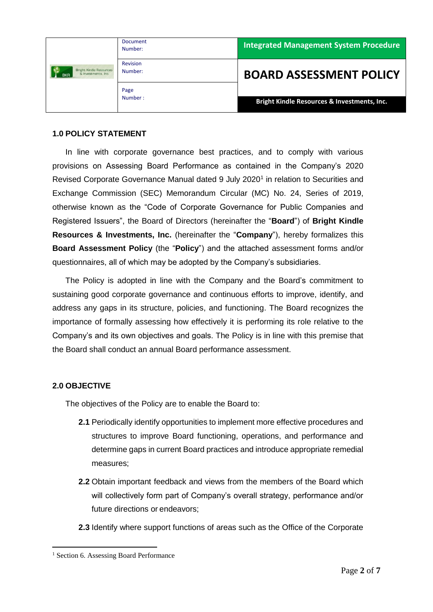|                                                                     | <b>Document</b><br>Number: | <b>Integrated Management System Procedure</b> |
|---------------------------------------------------------------------|----------------------------|-----------------------------------------------|
| <b>Bright Kindle Resources</b><br>& Investments, Inc.<br><b>BKR</b> | <b>Revision</b><br>Number: | <b>BOARD ASSESSMENT POLICY</b>                |
|                                                                     | Page<br>Number:            | Bright Kindle Resources & Investments, Inc.   |

#### **1.0 POLICY STATEMENT**

In line with corporate governance best practices, and to comply with various provisions on Assessing Board Performance as contained in the Company's 2020 Revised Corporate Governance Manual dated 9 July 2020<sup>1</sup> in relation to Securities and Exchange Commission (SEC) Memorandum Circular (MC) No. 24, Series of 2019, otherwise known as the "Code of Corporate Governance for Public Companies and Registered Issuers", the Board of Directors (hereinafter the "**Board**") of **Bright Kindle Resources & Investments, Inc.** (hereinafter the "**Company**"), hereby formalizes this **Board Assessment Policy** (the "**Policy**") and the attached assessment forms and/or questionnaires, all of which may be adopted by the Company's subsidiaries.

The Policy is adopted in line with the Company and the Board's commitment to sustaining good corporate governance and continuous efforts to improve, identify, and address any gaps in its structure, policies, and functioning. The Board recognizes the importance of formally assessing how effectively it is performing its role relative to the Company's and its own objectives and goals. The Policy is in line with this premise that the Board shall conduct an annual Board performance assessment.

### **2.0 OBJECTIVE**

1

The objectives of the Policy are to enable the Board to:

- **2.1** Periodically identify opportunities to implement more effective procedures and structures to improve Board functioning, operations, and performance and determine gaps in current Board practices and introduce appropriate remedial measures;
- **2.2** Obtain important feedback and views from the members of the Board which will collectively form part of Company's overall strategy, performance and/or future directions or endeavors;
- **2.3** Identify where support functions of areas such as the Office of the Corporate

<sup>&</sup>lt;sup>1</sup> Section 6. Assessing Board Performance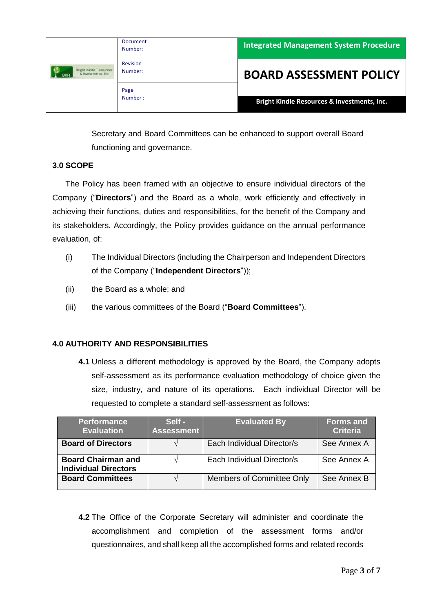|                                                                     | <b>Document</b><br>Number: | <b>Integrated Management System Procedure</b> |
|---------------------------------------------------------------------|----------------------------|-----------------------------------------------|
| <b>Bright Kindle Resources</b><br>& Investments, Inc.<br><b>BKR</b> | <b>Revision</b><br>Number: | <b>BOARD ASSESSMENT POLICY</b>                |
|                                                                     | Page<br>Number:            | Bright Kindle Resources & Investments, Inc.   |

Secretary and Board Committees can be enhanced to support overall Board functioning and governance.

### **3.0 SCOPE**

The Policy has been framed with an objective to ensure individual directors of the Company ("**Directors**") and the Board as a whole, work efficiently and effectively in achieving their functions, duties and responsibilities, for the benefit of the Company and its stakeholders. Accordingly, the Policy provides guidance on the annual performance evaluation, of:

- (i) The Individual Directors (including the Chairperson and Independent Directors of the Company ("**Independent Directors**"));
- (ii) the Board as a whole; and
- (iii) the various committees of the Board ("**Board Committees**").

# **4.0 AUTHORITY AND RESPONSIBILITIES**

**4.1** Unless a different methodology is approved by the Board, the Company adopts self-assessment as its performance evaluation methodology of choice given the size, industry, and nature of its operations. Each individual Director will be requested to complete a standard self-assessment as follows:

| <b>Performance</b><br><b>Evaluation</b>                  | Self -<br><b>Assessment</b> | <b>Evaluated By</b>        | <b>Forms and</b><br><b>Criteria</b> |
|----------------------------------------------------------|-----------------------------|----------------------------|-------------------------------------|
| <b>Board of Directors</b>                                |                             | Each Individual Director/s | See Annex A                         |
| <b>Board Chairman and</b><br><b>Individual Directors</b> |                             | Each Individual Director/s | See Annex A                         |
| <b>Board Committees</b>                                  |                             | Members of Committee Only  | See Annex B                         |

**4.2** The Office of the Corporate Secretary will administer and coordinate the accomplishment and completion of the assessment forms and/or questionnaires, and shall keep all the accomplished forms and related records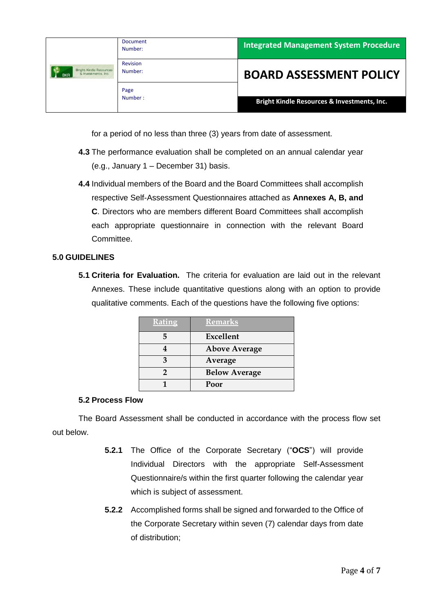| <b>Bright Kindle Resources</b><br>& Investments, Inc.<br><b>BKR</b> | <b>Document</b><br>Number: | <b>Integrated Management System Procedure</b> |
|---------------------------------------------------------------------|----------------------------|-----------------------------------------------|
|                                                                     | <b>Revision</b><br>Number: | <b>BOARD ASSESSMENT POLICY</b>                |
|                                                                     | Page<br>Number:            |                                               |
|                                                                     |                            | Bright Kindle Resources & Investments, Inc.   |

for a period of no less than three (3) years from date of assessment.

- **4.3** The performance evaluation shall be completed on an annual calendar year (e.g., January 1 – December 31) basis.
- **4.4** Individual members of the Board and the Board Committees shall accomplish respective Self-Assessment Questionnaires attached as **Annexes A, B, and C**. Directors who are members different Board Committees shall accomplish each appropriate questionnaire in connection with the relevant Board Committee.

# **5.0 GUIDELINES**

**5.1 Criteria for Evaluation.** The criteria for evaluation are laid out in the relevant Annexes. These include quantitative questions along with an option to provide qualitative comments. Each of the questions have the following five options:

| <b>Rating</b> | <b>Remarks</b>       |  |
|---------------|----------------------|--|
|               | Excellent            |  |
|               | <b>Above Average</b> |  |
|               | Average              |  |
|               | <b>Below Average</b> |  |
|               | Poor                 |  |

### **5.2 Process Flow**

The Board Assessment shall be conducted in accordance with the process flow set out below.

- **5.2.1** The Office of the Corporate Secretary ("**OCS**") will provide Individual Directors with the appropriate Self-Assessment Questionnaire/s within the first quarter following the calendar year which is subject of assessment.
- **5.2.2** Accomplished forms shall be signed and forwarded to the Office of the Corporate Secretary within seven (7) calendar days from date of distribution;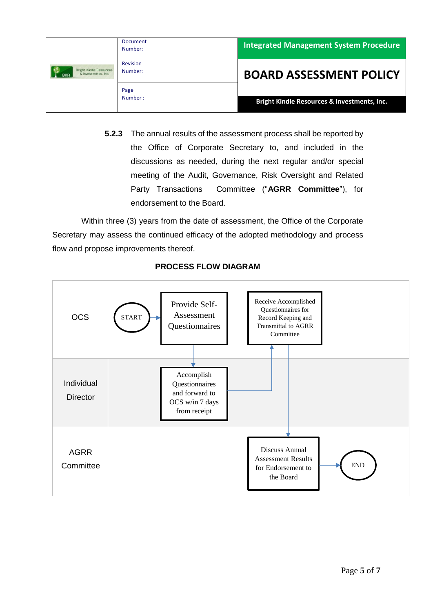| <b>Bright Kindle Resources</b><br>& Investments, Inc.<br><b>BKR</b> | <b>Document</b><br>Number: | <b>Integrated Management System Procedure</b>          |
|---------------------------------------------------------------------|----------------------------|--------------------------------------------------------|
|                                                                     | <b>Revision</b><br>Number: | <b>BOARD ASSESSMENT POLICY</b>                         |
|                                                                     | Page<br>Number:            | <b>Bright Kindle Resources &amp; Investments, Inc.</b> |

**5.2.3** The annual results of the assessment process shall be reported by the Office of Corporate Secretary to, and included in the discussions as needed, during the next regular and/or special meeting of the Audit, Governance, Risk Oversight and Related Party Transactions Committee ("**AGRR Committee**"), for endorsement to the Board.

Within three (3) years from the date of assessment, the Office of the Corporate Secretary may assess the continued efficacy of the adopted methodology and process flow and propose improvements thereof.



# **PROCESS FLOW DIAGRAM**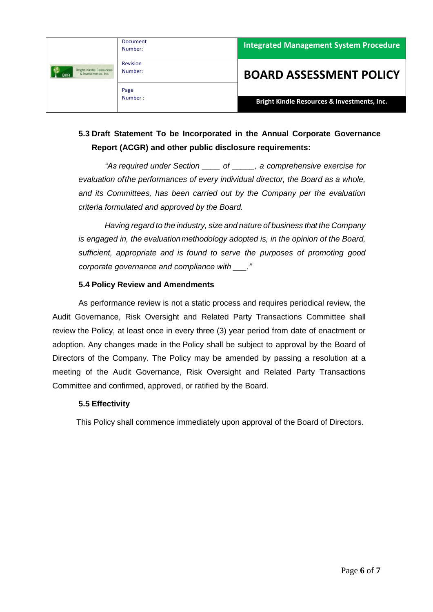|                                                                     | <b>Document</b><br>Number: | <b>Integrated Management System Procedure</b> |
|---------------------------------------------------------------------|----------------------------|-----------------------------------------------|
| <b>Bright Kindle Resources</b><br>& Investments, Inc.<br><b>BKR</b> | <b>Revision</b><br>Number: | <b>BOARD ASSESSMENT POLICY</b>                |
|                                                                     | Page<br>Number:            | Bright Kindle Resources & Investments, Inc.   |

# **5.3 Draft Statement To be Incorporated in the Annual Corporate Governance Report (ACGR) and other public disclosure requirements:**

*"As required under Section \_\_\_\_ of \_\_\_\_\_, a comprehensive exercise for evaluation ofthe performances of every individual director, the Board as a whole, and its Committees, has been carried out by the Company per the evaluation criteria formulated and approved by the Board.*

*Having regard to the industry, size and nature of business that the Company is engaged in, the evaluation methodology adopted is, in the opinion of the Board, sufficient, appropriate and is found to serve the purposes of promoting good corporate governance and compliance with \_\_\_."*

# **5.4 Policy Review and Amendments**

As performance review is not a static process and requires periodical review, the Audit Governance, Risk Oversight and Related Party Transactions Committee shall review the Policy, at least once in every three (3) year period from date of enactment or adoption. Any changes made in the Policy shall be subject to approval by the Board of Directors of the Company. The Policy may be amended by passing a resolution at a meeting of the Audit Governance, Risk Oversight and Related Party Transactions Committee and confirmed, approved, or ratified by the Board.

### **5.5 Effectivity**

This Policy shall commence immediately upon approval of the Board of Directors.